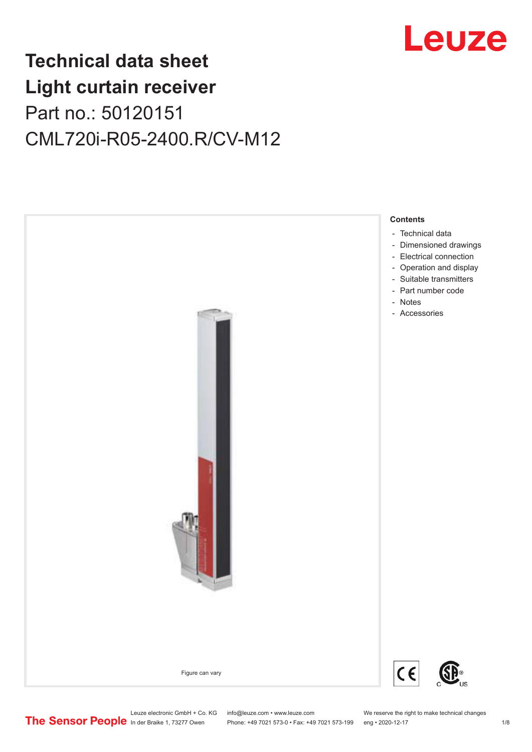

## **Technical data sheet Light curtain receiver** Part no.: 50120151 CML720i-R05-2400.R/CV-M12



Phone: +49 7021 573-0 • Fax: +49 7021 573-199 eng • 2020-12-17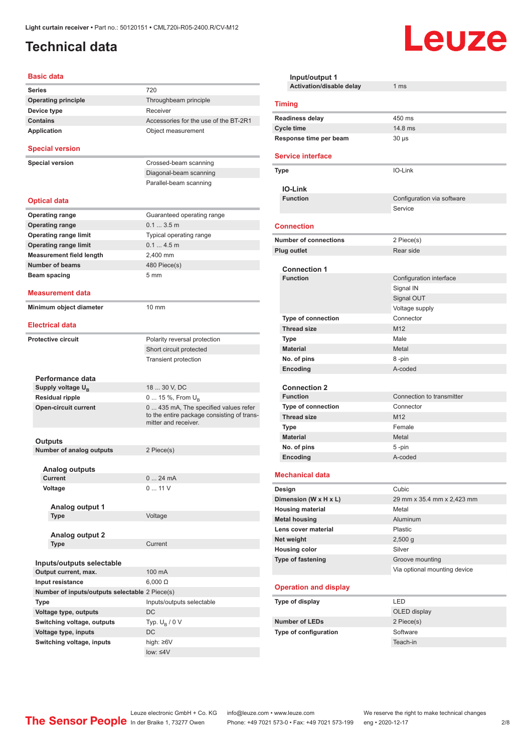## <span id="page-1-0"></span>**Technical data**

#### **Basic data**

| <b>Series</b>                                  | 720                                                                                                        |
|------------------------------------------------|------------------------------------------------------------------------------------------------------------|
| <b>Operating principle</b>                     | Throughbeam principle                                                                                      |
| Device type                                    | Receiver                                                                                                   |
| <b>Contains</b>                                | Accessories for the use of the BT-2R1                                                                      |
| <b>Application</b>                             | Object measurement                                                                                         |
| <b>Special version</b>                         |                                                                                                            |
| <b>Special version</b>                         | Crossed-beam scanning                                                                                      |
|                                                | Diagonal-beam scanning                                                                                     |
|                                                | Parallel-beam scanning                                                                                     |
|                                                |                                                                                                            |
| <b>Optical data</b>                            |                                                                                                            |
| <b>Operating range</b>                         | Guaranteed operating range                                                                                 |
| <b>Operating range</b>                         | $0.13.5$ m                                                                                                 |
| <b>Operating range limit</b>                   | Typical operating range                                                                                    |
| <b>Operating range limit</b>                   | 0.14.5m                                                                                                    |
| <b>Measurement field length</b>                | 2,400 mm                                                                                                   |
| <b>Number of beams</b>                         | 480 Piece(s)                                                                                               |
| Beam spacing                                   | $5 \text{ mm}$                                                                                             |
|                                                |                                                                                                            |
| <b>Measurement data</b>                        |                                                                                                            |
| Minimum object diameter                        | 10 mm                                                                                                      |
|                                                |                                                                                                            |
| <b>Electrical data</b>                         |                                                                                                            |
| <b>Protective circuit</b>                      | Polarity reversal protection                                                                               |
|                                                | Short circuit protected                                                                                    |
|                                                | Transient protection                                                                                       |
|                                                |                                                                                                            |
| Performance data                               |                                                                                                            |
| Supply voltage U <sub>B</sub>                  | 18  30 V, DC                                                                                               |
| <b>Residual ripple</b>                         | 0  15 %, From $U_B$                                                                                        |
| <b>Open-circuit current</b>                    | 0 435 mA, The specified values refer<br>to the entire package consisting of trans-<br>mitter and receiver. |
|                                                |                                                                                                            |
| Outputs                                        |                                                                                                            |
| <b>Number of analog outputs</b>                | 2 Piece(s)                                                                                                 |
| <b>Analog outputs</b>                          |                                                                                                            |
| Current                                        | 24 mA<br>$0$                                                                                               |
| Voltage                                        | 011V                                                                                                       |
|                                                |                                                                                                            |
| Analog output 1                                |                                                                                                            |
| Type                                           | Voltage                                                                                                    |
|                                                |                                                                                                            |
| <b>Analog output 2</b><br>Type                 | Current                                                                                                    |
|                                                |                                                                                                            |
| Inputs/outputs selectable                      |                                                                                                            |
| Output current, max.                           | 100 mA                                                                                                     |
| Input resistance                               | $6,000 \Omega$                                                                                             |
| Number of inputs/outputs selectable 2 Piece(s) |                                                                                                            |
| Type                                           | Inputs/outputs selectable                                                                                  |
| Voltage type, outputs                          | DC                                                                                                         |
| Switching voltage, outputs                     | Typ. $U_R / 0 V$                                                                                           |
| Voltage type, inputs                           | DC                                                                                                         |
| Switching voltage, inputs                      | high: ≥6V                                                                                                  |
|                                                | $low: 4V$                                                                                                  |
|                                                |                                                                                                            |

| Input/output 1<br>Activation/disable delay | 1 <sub>ms</sub>                      |
|--------------------------------------------|--------------------------------------|
|                                            |                                      |
| <b>Timing</b>                              |                                      |
| <b>Readiness delay</b>                     | 450 ms                               |
| <b>Cycle time</b>                          | 14.8 ms                              |
| Response time per beam                     | $30 \mu s$                           |
| <b>Service interface</b>                   |                                      |
| Type                                       | IO-Link                              |
| <b>IO-Link</b>                             |                                      |
| <b>Function</b>                            | Configuration via software           |
|                                            | Service                              |
| <b>Connection</b>                          |                                      |
| <b>Number of connections</b>               | 2 Piece(s)                           |
| Plug outlet                                | Rear side                            |
|                                            |                                      |
| <b>Connection 1</b><br><b>Function</b>     |                                      |
|                                            | Configuration interface<br>Signal IN |
|                                            | Signal OUT                           |
|                                            | Voltage supply                       |
| <b>Type of connection</b>                  | Connector                            |
| <b>Thread size</b>                         | M12                                  |
| <b>Type</b>                                | Male                                 |
| <b>Material</b>                            | Metal                                |
| No. of pins                                | 8-pin                                |
| Encoding                                   | A-coded                              |
|                                            |                                      |
| <b>Connection 2</b>                        |                                      |
| <b>Function</b>                            | Connection to transmitter            |
| <b>Type of connection</b>                  | Connector                            |
| <b>Thread size</b>                         | M12<br>Female                        |
| Type<br><b>Material</b>                    | Metal                                |
| No. of pins                                | 5-pin                                |
| Encoding                                   | A-coded                              |
|                                            |                                      |
| <b>Mechanical data</b>                     |                                      |
| Design                                     | Cubic                                |
| Dimension (W x H x L)                      | 29 mm x 35.4 mm x 2,423 mm           |
| <b>Housing material</b>                    | Metal                                |
| <b>Metal housing</b>                       | Aluminum                             |
| Lens cover material                        | Plastic                              |
| Net weight                                 | $2,500$ g<br>Silver                  |
| <b>Housing color</b><br>Type of fastening  | Groove mounting                      |
|                                            | Via optional mounting device         |
|                                            |                                      |
| <b>Operation and display</b>               |                                      |
| Type of display                            | <b>LED</b>                           |
|                                            | OLED display                         |
| <b>Number of LEDs</b>                      | 2 Piece(s)                           |
| Type of configuration                      | Software                             |
|                                            | Teach-in                             |

Leuze

Leuze electronic GmbH + Co. KG info@leuze.com • www.leuze.com We reserve the right to make technical changes

ln der Braike 1, 73277 Owen Phone: +49 7021 573-0 • Fax: +49 7021 573-199 eng • 2020-12-17 2/8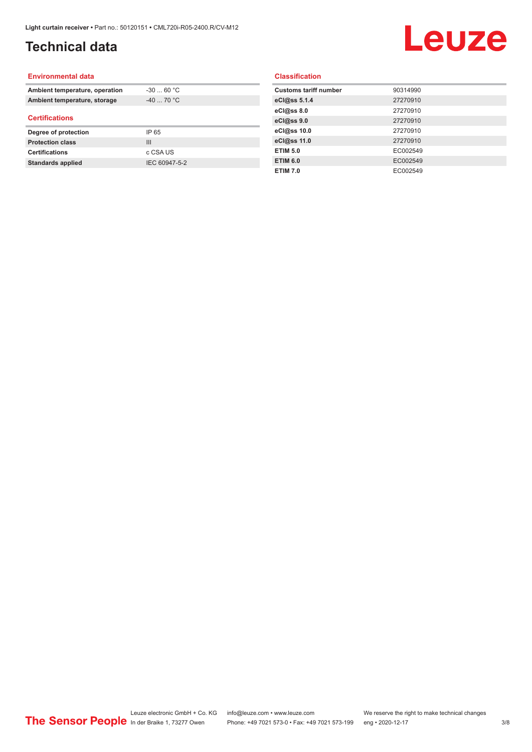## **Technical data**

# Leuze

#### **Environmental data**

| Ambient temperature, operation | $-30$ 60 °C |  |
|--------------------------------|-------------|--|
| Ambient temperature, storage   | $-40$ 70 °C |  |
| <b>Certifications</b>          |             |  |
|                                |             |  |
| Degree of protection           | IP 65       |  |
| <b>Protection class</b>        | Ш           |  |
| <b>Certifications</b>          | c CSA US    |  |

#### **Classification**

| <b>Customs tariff number</b> | 90314990 |
|------------------------------|----------|
| eCl@ss 5.1.4                 | 27270910 |
| eCl@ss 8.0                   | 27270910 |
| eCl@ss 9.0                   | 27270910 |
| eCl@ss 10.0                  | 27270910 |
| eCl@ss 11.0                  | 27270910 |
| <b>ETIM 5.0</b>              | EC002549 |
| <b>ETIM 6.0</b>              | EC002549 |
| <b>ETIM 7.0</b>              | EC002549 |
|                              |          |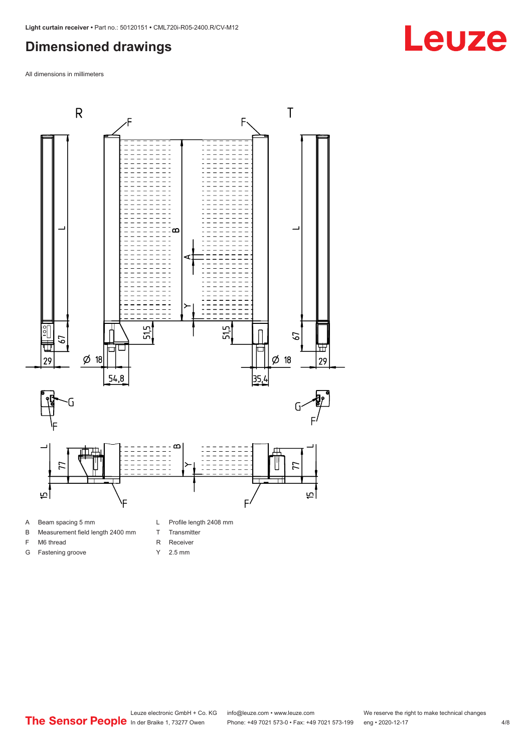### <span id="page-3-0"></span>**Dimensioned drawings**

All dimensions in millimeters



A Beam spacing 5 mm

G Fastening groove

- B Measurement field length 2400 mm
- F M6 thread
- R Receiver
	- Y 2.5 mm

T Transmitter

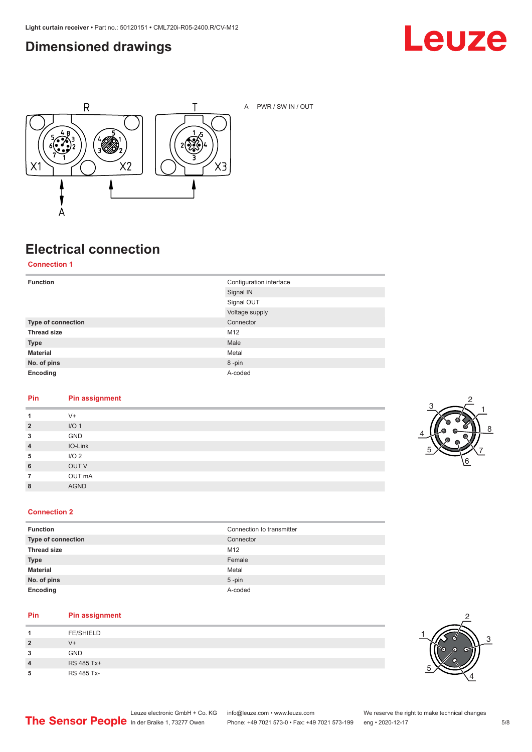### <span id="page-4-0"></span>**Dimensioned drawings**





A PWR / SW IN / OUT

## **Electrical connection**

**Connection 1**

| <b>Function</b>    | Configuration interface |
|--------------------|-------------------------|
|                    | Signal IN               |
|                    | Signal OUT              |
|                    | Voltage supply          |
| Type of connection | Connector               |
| <b>Thread size</b> | M12                     |
| <b>Type</b>        | Male                    |
| <b>Material</b>    | Metal                   |
| No. of pins        | 8-pin                   |
| Encoding           | A-coded                 |

#### **Pin Pin assignment**

| 1              | $V +$            |
|----------------|------------------|
| $\overline{2}$ | I/O <sub>1</sub> |
| 3              | GND              |
| $\overline{4}$ | IO-Link          |
| 5              | I/O <sub>2</sub> |
| 6              | OUT V            |
| $\overline{7}$ | OUT mA           |
| 8              | <b>AGND</b>      |
|                |                  |



#### **Connection 2**

| <b>Function</b>    | Connection to transmitter |
|--------------------|---------------------------|
| Type of connection | Connector                 |
| <b>Thread size</b> | M <sub>12</sub>           |
| <b>Type</b>        | Female                    |
| <b>Material</b>    | Metal                     |
| No. of pins        | $5$ -pin                  |
| Encoding           | A-coded                   |

#### **Pin Pin assignment**

|                | <b>FE/SHIELD</b> |
|----------------|------------------|
| $\overline{2}$ | V+               |
| 3              | <b>GND</b>       |
| 4              | RS 485 Tx+       |
| 5              | RS 485 Tx-       |

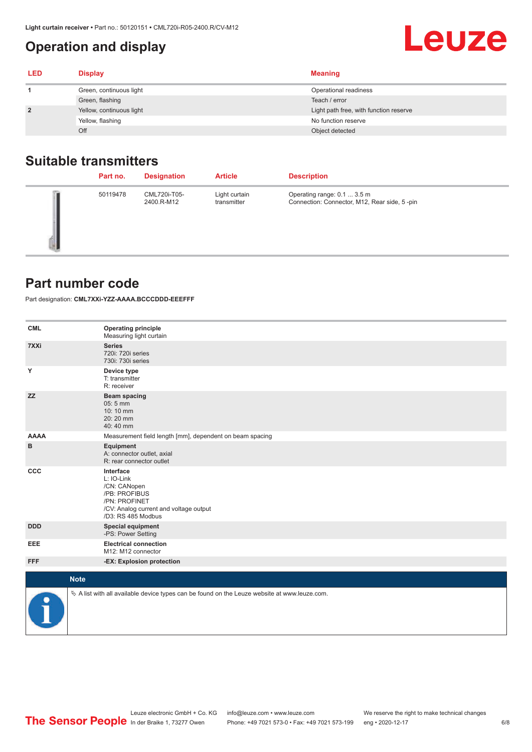## <span id="page-5-0"></span>**Operation and display**

| <b>LED</b>     | <b>Display</b>           | <b>Meaning</b>                         |
|----------------|--------------------------|----------------------------------------|
|                | Green, continuous light  | Operational readiness                  |
|                | Green, flashing          | Teach / error                          |
| $\overline{2}$ | Yellow, continuous light | Light path free, with function reserve |
|                | Yellow, flashing         | No function reserve                    |
|                | Off                      | Object detected                        |

#### **Suitable transmitters**

| Part no. | <b>Designation</b>         | <b>Article</b>               | <b>Description</b>                                                          |
|----------|----------------------------|------------------------------|-----------------------------------------------------------------------------|
| 50119478 | CML720i-T05-<br>2400.R-M12 | Light curtain<br>transmitter | Operating range: 0.1  3.5 m<br>Connection: Connector, M12, Rear side, 5-pin |

#### **Part number code**

Part designation: **CML7XXi-YZZ-AAAA.BCCCDDD-EEEFFF**

| <b>CML</b>           | <b>Operating principle</b><br>Measuring light curtain                                                                                     |
|----------------------|-------------------------------------------------------------------------------------------------------------------------------------------|
| 7XXi                 | <b>Series</b><br>720i: 720i series<br>730i: 730i series                                                                                   |
| Y                    | Device type<br>T: transmitter<br>R: receiver                                                                                              |
| <b>ZZ</b>            | <b>Beam spacing</b><br>05:5 mm<br>10:10 mm<br>20:20 mm<br>40:40 mm                                                                        |
| <b>AAAA</b>          | Measurement field length [mm], dependent on beam spacing                                                                                  |
| в                    | Equipment<br>A: connector outlet, axial<br>R: rear connector outlet                                                                       |
| CCC                  | Interface<br>L: IO-Link<br>/CN: CANopen<br>/PB: PROFIBUS<br>/PN: PROFINET<br>/CV: Analog current and voltage output<br>/D3: RS 485 Modbus |
| <b>DDD</b>           | <b>Special equipment</b><br>-PS: Power Setting                                                                                            |
| <b>EEE</b>           | <b>Electrical connection</b><br>M12: M12 connector                                                                                        |
| <b>FFF</b>           | -EX: Explosion protection                                                                                                                 |
| <b>Note</b>          |                                                                                                                                           |
|                      |                                                                                                                                           |
| $\ddot{\phantom{a}}$ | $\&$ A list with all available device types can be found on the Leuze website at www.leuze.com.                                           |

Leuze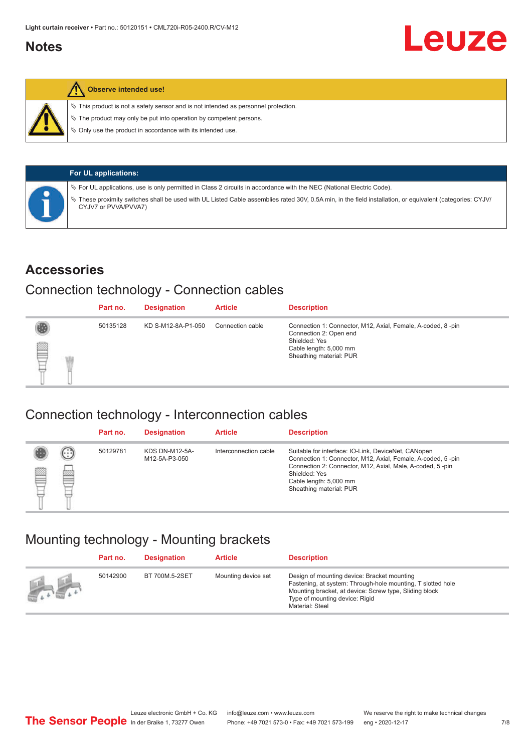#### <span id="page-6-0"></span>**Notes**



#### **Observe intended use!**

 $\%$  This product is not a safety sensor and is not intended as personnel protection.

 $\%$  The product may only be put into operation by competent persons.

 $\%$  Only use the product in accordance with its intended use.

| <b>For UL applications:</b>                                                                                                                                                       |
|-----------------------------------------------------------------------------------------------------------------------------------------------------------------------------------|
| $\%$ For UL applications, use is only permitted in Class 2 circuits in accordance with the NEC (National Electric Code).                                                          |
| V These proximity switches shall be used with UL Listed Cable assemblies rated 30V, 0.5A min, in the field installation, or equivalent (categories: CYJV/<br>CYJV7 or PVVA/PVVA7) |

#### **Accessories**

#### Connection technology - Connection cables

|   | Part no. | <b>Designation</b> | <b>Article</b>   | <b>Description</b>                                                                                                                                          |
|---|----------|--------------------|------------------|-------------------------------------------------------------------------------------------------------------------------------------------------------------|
| § | 50135128 | KD S-M12-8A-P1-050 | Connection cable | Connection 1: Connector, M12, Axial, Female, A-coded, 8-pin<br>Connection 2: Open end<br>Shielded: Yes<br>Cable length: 5,000 mm<br>Sheathing material: PUR |

#### Connection technology - Interconnection cables

|   |                   | Part no. | <b>Designation</b>                     | <b>Article</b>        | <b>Description</b>                                                                                                                                                                                                                                    |
|---|-------------------|----------|----------------------------------------|-----------------------|-------------------------------------------------------------------------------------------------------------------------------------------------------------------------------------------------------------------------------------------------------|
| e | $(\cdot$ : :<br>Þ | 50129781 | <b>KDS DN-M12-5A-</b><br>M12-5A-P3-050 | Interconnection cable | Suitable for interface: IO-Link, DeviceNet, CANopen<br>Connection 1: Connector, M12, Axial, Female, A-coded, 5-pin<br>Connection 2: Connector, M12, Axial, Male, A-coded, 5-pin<br>Shielded: Yes<br>Cable length: 5,000 mm<br>Sheathing material: PUR |

#### Mounting technology - Mounting brackets

|                                               | Part no. | <b>Designation</b> | <b>Article</b>      | <b>Description</b>                                                                                                                                                                                                        |
|-----------------------------------------------|----------|--------------------|---------------------|---------------------------------------------------------------------------------------------------------------------------------------------------------------------------------------------------------------------------|
| $\frac{1}{2}$ , $\frac{1}{2}$ , $\frac{1}{2}$ | 50142900 | BT 700M.5-2SET     | Mounting device set | Design of mounting device: Bracket mounting<br>Fastening, at system: Through-hole mounting, T slotted hole<br>Mounting bracket, at device: Screw type, Sliding block<br>Type of mounting device: Rigid<br>Material: Steel |

Leuze